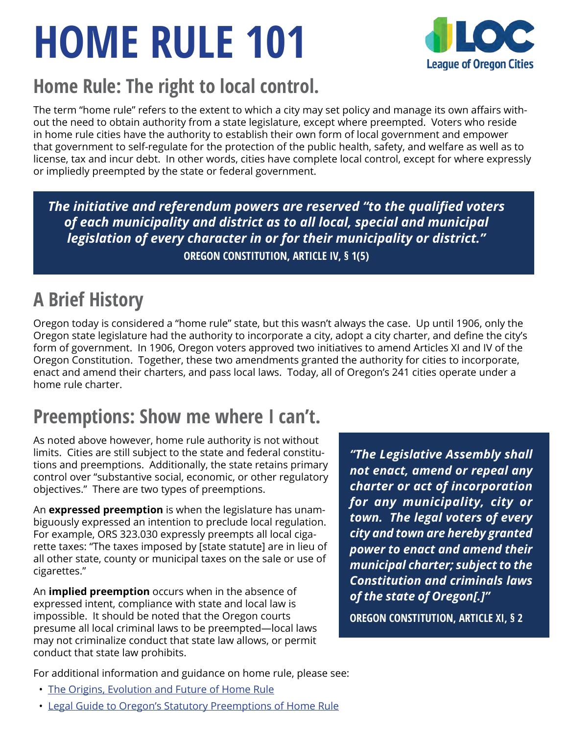# **HOME RULE 101**



### **Home Rule: The right to local control.**

The term "home rule" refers to the extent to which a city may set policy and manage its own affairs without the need to obtain authority from a state legislature, except where preempted. Voters who reside in home rule cities have the authority to establish their own form of local government and empower that government to self-regulate for the protection of the public health, safety, and welfare as well as to license, tax and incur debt. In other words, cities have complete local control, except for where expressly or impliedly preempted by the state or federal government.

*The initiative and referendum powers are reserved "to the qualified voters of each municipality and district as to all local, special and municipal legislation of every character in or for their municipality or district."* **OREGON CONSTITUTION, ARTICLE IV, § 1(5)**

## **A Brief History**

Oregon today is considered a "home rule" state, but this wasn't always the case. Up until 1906, only the Oregon state legislature had the authority to incorporate a city, adopt a city charter, and define the city's form of government. In 1906, Oregon voters approved two initiatives to amend Articles XI and IV of the Oregon Constitution. Together, these two amendments granted the authority for cities to incorporate, enact and amend their charters, and pass local laws. Today, all of Oregon's 241 cities operate under a home rule charter.

### **Preemptions: Show me where I can't.**

As noted above however, home rule authority is not without limits. Cities are still subject to the state and federal constitutions and preemptions. Additionally, the state retains primary control over "substantive social, economic, or other regulatory objectives." There are two types of preemptions.

An **expressed preemption** is when the legislature has unambiguously expressed an intention to preclude local regulation. For example, ORS 323.030 expressly preempts all local cigarette taxes: "The taxes imposed by [state statute] are in lieu of all other state, county or municipal taxes on the sale or use of cigarettes."

An **implied preemption** occurs when in the absence of expressed intent, compliance with state and local law is impossible. It should be noted that the Oregon courts presume all local criminal laws to be preempted—local laws may not criminalize conduct that state law allows, or permit conduct that state law prohibits.

*"The Legislative Assembly shall not enact, amend or repeal any charter or act of incorporation for any municipality, city or town. The legal voters of every city and town are hereby granted power to enact and amend their municipal charter; subject to the Constitution and criminals laws of the state of Oregon[.]"* **OREGON CONSTITUTION, ARTICLE XI, § 2**

For additional information and guidance on home rule, please see:

- [The Origins, Evolution and Future of Home Rule](https://www.orcities.org/application/files/5315/6036/1714/WhitePaper-OriginsEvolutionFutureHomeRule6-15-17.pdf)
- [Legal Guide to Oregon's Statutory Preemptions of Home Rule](https://www.orcities.org/application/files/4715/7904/6324/StatutoryPreemptionSummary02-10-19.pdf)